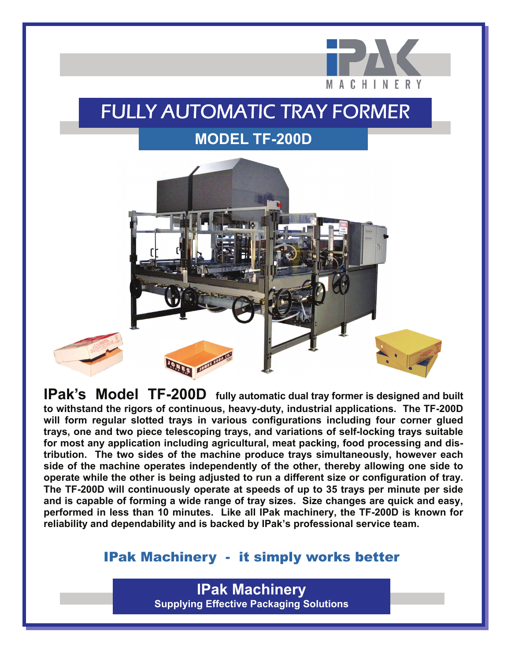

## FULLY AUTOMATIC TRAY FORMER **MODEL TF-200D**



**IPak's Model TF-200D fully automatic dual tray former is designed and built to withstand the rigors of continuous, heavy-duty, industrial applications. The TF-200D will form regular slotted trays in various configurations including four corner glued trays, one and two piece telescoping trays, and variations of self-locking trays suitable for most any application including agricultural, meat packing, food processing and distribution. The two sides of the machine produce trays simultaneously, however each side of the machine operates independently of the other, thereby allowing one side to operate while the other is being adjusted to run a different size or configuration of tray. The TF-200D will continuously operate at speeds of up to 35 trays per minute per side and is capable of forming a wide range of tray sizes. Size changes are quick and easy, performed in less than 10 minutes. Like all IPak machinery, the TF-200D is known for reliability and dependability and is backed by IPak's professional service team.** 

#### IPak Machinery - it simply works better

**IPak Machinery Supplying Effective Packaging Solutions**